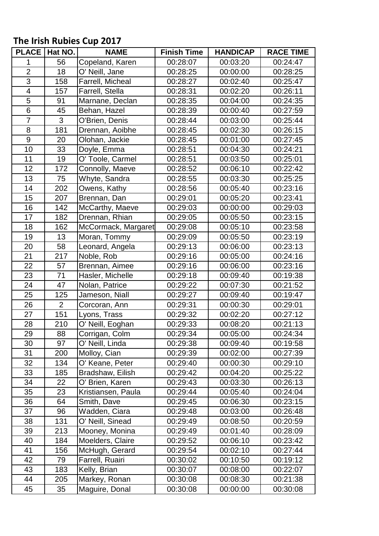## **The Irish Rubies Cup 2017**

| <b>PLACE</b>            | Hat NO.        | <b>NAME</b>         | <b>Finish Time</b> | <b>HANDICAP</b> | <b>RACE TIME</b> |
|-------------------------|----------------|---------------------|--------------------|-----------------|------------------|
| 1                       | 56             | Copeland, Karen     | 00:28:07           | 00:03:20        | 00:24:47         |
| $\overline{2}$          | 18             | O' Neill, Jane      | 00:28:25           | 00:00:00        | 00:28:25         |
| $\overline{3}$          | 158            | Farrell, Micheal    | 00:28:27           | 00:02:40        | 00:25:47         |
| $\overline{\mathbf{4}}$ | 157            | Farrell, Stella     | 00:28:31           | 00:02:20        | 00:26:11         |
| 5                       | 91             | Marnane, Declan     | 00:28:35           | 00:04:00        | 00:24:35         |
| $\overline{6}$          | 45             | Behan, Hazel        | 00:28:39           | 00:00:40        | 00:27:59         |
| $\overline{7}$          | 3              | O'Brien, Denis      | 00:28:44           | 00:03:00        | 00:25:44         |
| 8                       | 181            | Drennan, Aoibhe     | 00:28:45           | 00:02:30        | 00:26:15         |
| $\boldsymbol{9}$        | 20             | Olohan, Jackie      | 00:28:45           | 00:01:00        | 00:27:45         |
| 10                      | 33             | Doyle, Emma         | 00:28:51           | 00:04:30        | 00:24:21         |
| 11                      | 19             | O' Toole, Carmel    | 00:28:51           | 00:03:50        | 00:25:01         |
| 12                      | 172            | Connolly, Maeve     | 00:28:52           | 00:06:10        | 00:22:42         |
| 13                      | 75             | Whyte, Sandra       | 00:28:55           | 00:03:30        | 00:25:25         |
| 14                      | 202            | Owens, Kathy        | 00:28:56           | 00:05:40        | 00:23:16         |
| 15                      | 207            | Brennan, Dan        | 00:29:01           | 00:05:20        | 00:23:41         |
| 16                      | 142            | McCarthy, Maeve     | 00:29:03           | 00:00:00        | 00:29:03         |
| 17                      | 182            | Drennan, Rhian      | 00:29:05           | 00:05:50        | 00:23:15         |
| 18                      | 162            | McCormack, Margaret | 00:29:08           | 00:05:10        | 00:23:58         |
| 19                      | 13             | Moran, Tommy        | 00:29:09           | 00:05:50        | 00:23:19         |
| 20                      | 58             | Leonard, Angela     | 00:29:13           | 00:06:00        | 00:23:13         |
| 21                      | 217            | Noble, Rob          | 00:29:16           | 00:05:00        | 00:24:16         |
| 22                      | 57             | Brennan, Aimee      | 00:29:16           | 00:06:00        | 00:23:16         |
| 23                      | 71             | Hasler, Michelle    | 00:29:18           | 00:09:40        | 00:19:38         |
| 24                      | 47             | Nolan, Patrice      | 00:29:22           | 00:07:30        | 00:21:52         |
| 25                      | 125            | Jameson, Niall      | 00:29:27           | 00:09:40        | 00:19:47         |
| 26                      | $\overline{2}$ | Corcoran, Ann       | 00:29:31           | 00:00:30        | 00:29:01         |
| 27                      | 151            | Lyons, Trass        | 00:29:32           | 00:02:20        | 00:27:12         |
| 28                      | 210            | O' Neill, Eoghan    | 00:29:33           | 00:08:20        | 00:21:13         |
| 29                      | 88             | Corrigan, Colm      | 00:29:34           | 00:05:00        | 00:24:34         |
| 30                      | 97             | O' Neill, Linda     | 00:29:38           | 00:09:40        | 00:19:58         |
| 31                      | 200            | Molloy, Cian        | 00:29:39           | 00:02:00        | 00:27:39         |
| 32                      | 134            | O' Keane, Peter     | 00:29:40           | 00:00:30        | 00:29:10         |
| 33                      | 185            | Bradshaw, Eilish    | 00:29:42           | 00:04:20        | 00:25:22         |
| 34                      | 22             | O' Brien, Karen     | 00:29:43           | 00:03:30        | 00:26:13         |
| 35                      | 23             | Kristiansen, Paula  | 00:29:44           | 00:05:40        | 00:24:04         |
| 36                      | 64             | Smith, Dave         | 00:29:45           | 00:06:30        | 00:23:15         |
| 37                      | 96             | Wadden, Ciara       | 00:29:48           | 00:03:00        | 00:26:48         |
| 38                      | 131            | O' Neill, Sinead    | 00:29:49           | 00:08:50        | 00:20:59         |
| 39                      | 213            | Mooney, Monina      | 00:29:49           | 00:01:40        | 00:28:09         |
| 40                      | 184            | Moelders, Claire    | 00:29:52           | 00:06:10        | 00:23:42         |
| 41                      | 156            | McHugh, Gerard      | 00:29:54           | 00:02:10        | 00:27:44         |
| 42                      | 79             | Farrell, Ruairi     | 00:30:02           | 00:10:50        | 00:19:12         |
| 43                      | 183            | Kelly, Brian        | 00:30:07           | 00:08:00        | 00:22:07         |
| 44                      | 205            | Markey, Ronan       | 00:30:08           | 00:08:30        | 00:21:38         |
| 45                      | 35             | Maguire, Donal      | 00:30:08           | 00:00:00        | 00:30:08         |